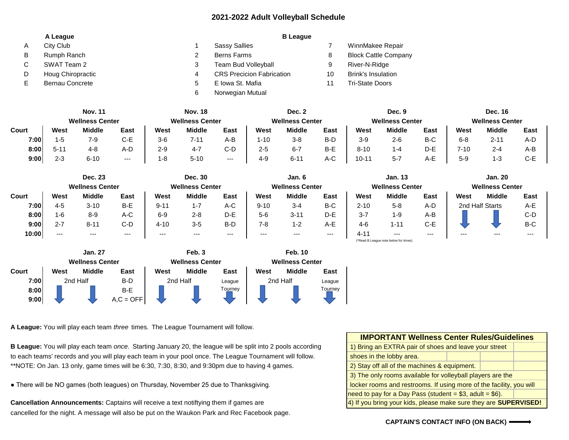## **2021-2022 Adult Volleyball Schedule**

|    | A League               |   | <b>B</b> League                  |    |                             |
|----|------------------------|---|----------------------------------|----|-----------------------------|
| A  | City Club              |   | <b>Sassy Sallies</b>             |    | WinnMakee Repair            |
| B  | Rumph Ranch            |   | <b>Berns Farms</b>               | 8  | <b>Block Cattle Company</b> |
| C. | SWAT Team 2            |   | Team Bud Volleyball              | 9  | River-N-Ridge               |
| D. | Houg Chiropractic      |   | <b>CRS Precicion Fabrication</b> | 10 | <b>Brink's Insulation</b>   |
|    | <b>Bernau Concrete</b> |   | E Iowa St. Mafia                 |    | <b>Tri-State Doors</b>      |
|    |                        | 6 | Norwegian Mutual                 |    |                             |

|       | <b>Nov. 11</b>         |               | <b>Nov. 18</b> |                        | Dec. 2        |                        | Dec. 9  |                        |      | <b>Dec. 16</b>         |         |         |         |          |      |
|-------|------------------------|---------------|----------------|------------------------|---------------|------------------------|---------|------------------------|------|------------------------|---------|---------|---------|----------|------|
|       | <b>Wellness Center</b> |               |                | <b>Wellness Center</b> |               | <b>Wellness Center</b> |         | <b>Wellness Center</b> |      | <b>Wellness Center</b> |         |         |         |          |      |
| Court | West                   | <b>Middle</b> | East           | West                   | <b>Middle</b> | East                   | West    | <b>Middle</b>          | East | West                   | Middle  | East    | West    | Middle   | East |
| 7:00  | 1-5                    | 7-9           | C-E            | $3-6$                  | $7 - 11$      | A-B                    | 1-10    | $3 - 8$                | B-D  | $3-9$                  | $2 - 6$ | B-C     | $6 - 8$ | $2 - 11$ | A-D  |
| 8:00  | $5 - 1$                | 4-8           | A-D            | 2-9                    | $4 - 7$       | C-D                    | $2 - 5$ | $6 - 7$                | B-E  | $8 - 10$               | -4      | $D - E$ | 7-10    | $2 - 4$  | A-B  |
| 9:00  | $2 - 3$                | $6 - 10$      | $---$          | 1-8                    | $5 - 10$      | $---$                  | $4 - 9$ | $6 - 11$               | A-C  | $10-1$                 | $5 - 7$ | A-E     | $5-9$   | $1 - 3$  | C-E  |

|       |                        | <b>Dec. 23</b> |                        |          | <b>Dec. 30</b> |                        |          | Jan. 6         |                        |          | <b>Jan. 13</b>                        |                        |       | <b>Jan. 20</b>  |       |
|-------|------------------------|----------------|------------------------|----------|----------------|------------------------|----------|----------------|------------------------|----------|---------------------------------------|------------------------|-------|-----------------|-------|
|       | <b>Wellness Center</b> |                | <b>Wellness Center</b> |          |                | <b>Wellness Center</b> |          |                | <b>Wellness Center</b> |          |                                       | <b>Wellness Center</b> |       |                 |       |
| Court | West                   | <b>Middle</b>  | East                   | West     | <b>Middle</b>  | East                   | West     | <b>Middle</b>  | East                   | West     | <b>Middle</b>                         | <b>East</b>            | West  | <b>Middle</b>   | East  |
| 7:00  | 4-5                    | $3 - 10$       | B-E                    | $9 - 11$ | $1 - 7$        | A-C                    | $9 - 10$ | $3 - 4$        | B-C                    | $2 - 10$ | $5 - 8$                               | A-D                    |       | 2nd Half Starts | $A-E$ |
| 8:00  | 1-6                    | $8 - 9$        | A-C                    | $6-9$    | $2 - 8$        | D-E                    | $5-6$    | $3 - 11$       | D-E                    | $3 - 7$  | $1 - 9$                               | A-B                    |       |                 | $C-D$ |
| 9:00  | $2 - 7$                | $8 - 11$       | $C-D$                  | $4 - 10$ | $3-5$          | B-D                    | $7 - 8$  | $1 - 2$        | A-E                    | $4-6$    | $1 - 11$                              | C-E                    |       |                 | B-C   |
| 10:00 | $---$                  | $--$           | $---$                  | $---$    | $---$          | $---$                  | $---$    | $---$          | $--$                   | 4-11     | $---$                                 | ---                    | $---$ | $---$           | $---$ |
|       |                        |                |                        |          |                |                        |          |                |                        |          | (*Read B League note below for times) |                        |       |                 |       |
|       |                        | <b>Jan. 27</b> |                        |          | Feb. 3         |                        |          | <b>Feb. 10</b> |                        |          |                                       |                        |       |                 |       |

|       |          | <b>Wellness Center</b> |             |          | <b>Wellness Center</b> |         | <b>Wellness Center</b> |               |         |  |
|-------|----------|------------------------|-------------|----------|------------------------|---------|------------------------|---------------|---------|--|
| Court | West     | <b>Middle</b>          | East        | West     | <b>Middle</b>          | East    | West                   | <b>Middle</b> | East    |  |
| 7:00  | 2nd Half |                        | B-D         | 2nd Half |                        | League  | 2nd Half               |               | League  |  |
| 8:00  |          |                        | B-E         |          |                        | Tourney |                        |               | Tourney |  |
| 9:00  |          |                        | $A.C = OFF$ |          |                        |         |                        |               |         |  |

**A League:** You will play each team *three* times*.* The League Tournament will follow.

**B League:** You will play each team once. Starting January 20, the league will be split into 2 pools according to each teams' records and you will play each team in your pool once. The League Tournament will follow. \*\*NOTE: On Jan. 13 only, game times will be 6:30, 7:30, 8:30, and 9:30pm due to having 4 games.

• There will be NO games (both leagues) on Thursday, November 25 due to Thanksgiving.

**Cancellation Announcements:** Captains will receive a text notiftying them if games are cancelled for the night. A message will also be put on the Waukon Park and Rec Facebook page.

| <b>IMPORTANT Wellness Center Rules/Guidelines</b>                       |  |  |  |  |  |  |
|-------------------------------------------------------------------------|--|--|--|--|--|--|
| 1) Bring an EXTRA pair of shoes and leave your street                   |  |  |  |  |  |  |
| shoes in the lobby area.                                                |  |  |  |  |  |  |
| 2) Stay off all of the machines & equipment.                            |  |  |  |  |  |  |
| 3) The only rooms available for volleyball players are the              |  |  |  |  |  |  |
| locker rooms and restrooms. If using more of the facility, you will     |  |  |  |  |  |  |
| need to pay for a Day Pass (student = $$3$ , adult = $$6$ ).            |  |  |  |  |  |  |
| 4) If you bring your kids, please make sure they are <b>SUPERVISED!</b> |  |  |  |  |  |  |

## **CAPTAIN'S CONTACT INFO (ON BACK)**

| <b>Jan. 20</b><br><b>Wellness Center</b> |        |      |  |  |  |  |  |
|------------------------------------------|--------|------|--|--|--|--|--|
| West                                     | Middle | East |  |  |  |  |  |
| 2nd Half Starts                          |        | A-F  |  |  |  |  |  |
|                                          |        | C-D  |  |  |  |  |  |
|                                          |        | B-C  |  |  |  |  |  |